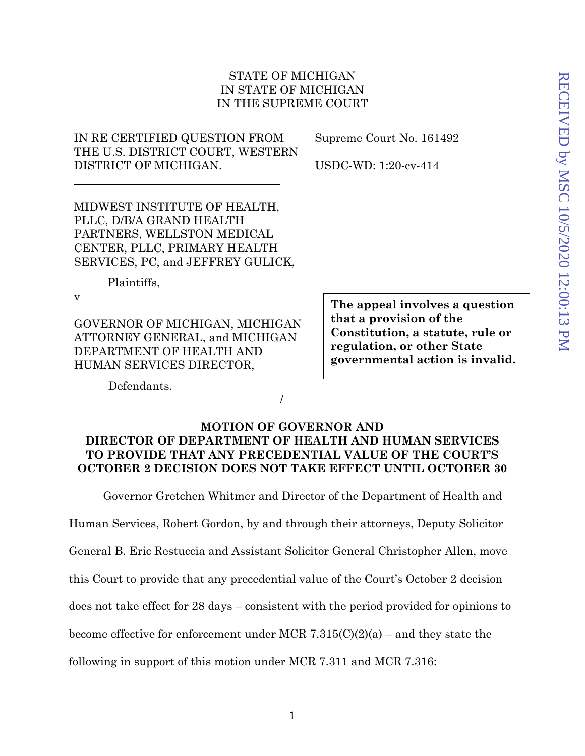## STATE OF MICHIGAN IN STATE OF MICHIGAN IN THE SUPREME COURT

IN RE CERTIFIED QUESTION FROM THE U.S. DISTRICT COURT, WESTERN DISTRICT OF MICHIGAN.

Supreme Court No. 161492

USDC-WD: 1:20-cv-414

MIDWEST INSTITUTE OF HEALTH, PLLC, D/B/A GRAND HEALTH PARTNERS, WELLSTON MEDICAL CENTER, PLLC, PRIMARY HEALTH SERVICES, PC, and JEFFREY GULICK,

Plaintiffs,

v

GOVERNOR OF MICHIGAN, MICHIGAN ATTORNEY GENERAL, and MICHIGAN DEPARTMENT OF HEALTH AND HUMAN SERVICES DIRECTOR,

**The appeal involves a question that a provision of the Constitution, a statute, rule or regulation, or other State governmental action is invalid.** 

Defendants.

## **MOTION OF GOVERNOR AND DIRECTOR OF DEPARTMENT OF HEALTH AND HUMAN SERVICES TO PROVIDE THAT ANY PRECEDENTIAL VALUE OF THE COURT'S OCTOBER 2 DECISION DOES NOT TAKE EFFECT UNTIL OCTOBER 30**

/

Governor Gretchen Whitmer and Director of the Department of Health and

Human Services, Robert Gordon, by and through their attorneys, Deputy Solicitor

General B. Eric Restuccia and Assistant Solicitor General Christopher Allen, move

this Court to provide that any precedential value of the Court's October 2 decision

does not take effect for 28 days – consistent with the period provided for opinions to

become effective for enforcement under MCR 7.315(C)(2)(a) – and they state the

following in support of this motion under MCR 7.311 and MCR 7.316: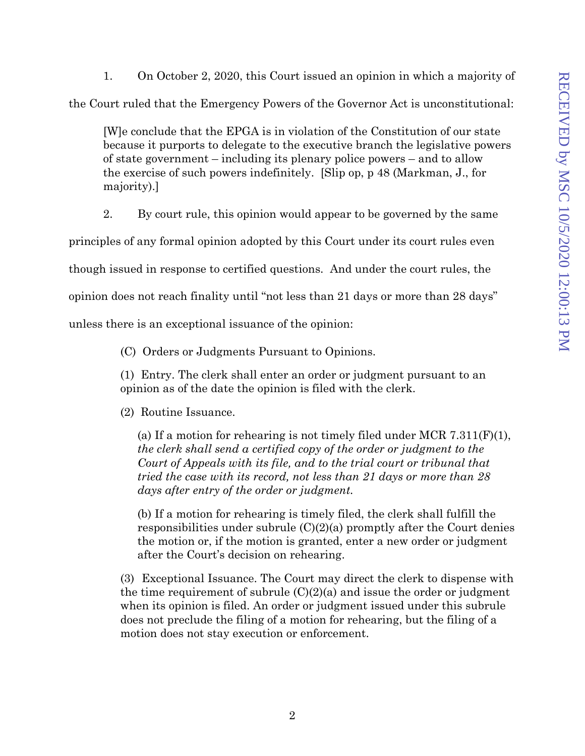1. On October 2, 2020, this Court issued an opinion in which a majority of the Court ruled that the Emergency Powers of the Governor Act is unconstitutional:

[W]e conclude that the EPGA is in violation of the Constitution of our state because it purports to delegate to the executive branch the legislative powers of state government – including its plenary police powers – and to allow the exercise of such powers indefinitely. [Slip op, p 48 (Markman, J., for majority).]

2. By court rule, this opinion would appear to be governed by the same

principles of any formal opinion adopted by this Court under its court rules even

though issued in response to certified questions. And under the court rules, the

opinion does not reach finality until "not less than 21 days or more than 28 days"

unless there is an exceptional issuance of the opinion:

(C) Orders or Judgments Pursuant to Opinions.

(1) Entry. The clerk shall enter an order or judgment pursuant to an opinion as of the date the opinion is filed with the clerk.

(2) Routine Issuance.

(a) If a motion for rehearing is not timely filed under MCR  $7.311(F)(1)$ , *the clerk shall send a certified copy of the order or judgment to the Court of Appeals with its file, and to the trial court or tribunal that tried the case with its record, not less than 21 days or more than 28 days after entry of the order or judgment.* 

(b) If a motion for rehearing is timely filed, the clerk shall fulfill the responsibilities under subrule  $(C)(2)(a)$  promptly after the Court denies the motion or, if the motion is granted, enter a new order or judgment after the Court's decision on rehearing.

(3) Exceptional Issuance. The Court may direct the clerk to dispense with the time requirement of subrule  $(C)(2)(a)$  and issue the order or judgment when its opinion is filed. An order or judgment issued under this subrule does not preclude the filing of a motion for rehearing, but the filing of a motion does not stay execution or enforcement.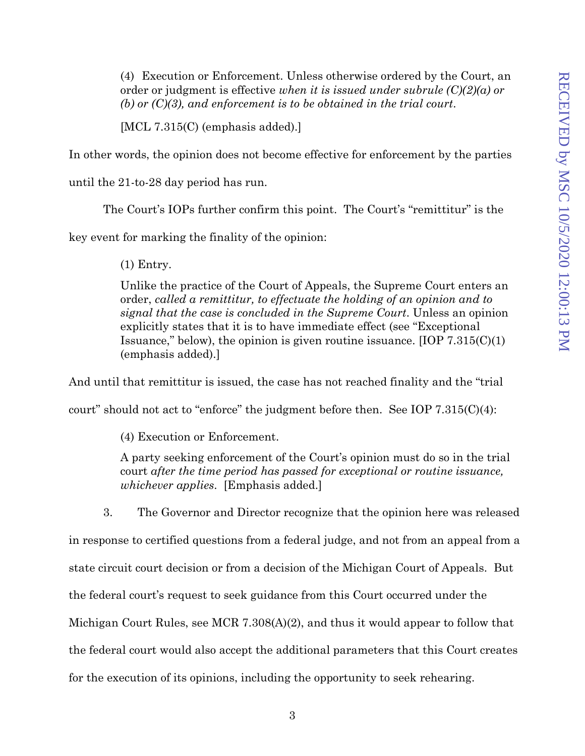(4) Execution or Enforcement. Unless otherwise ordered by the Court, an order or judgment is effective *when it is issued under subrule (C)(2)(a) or (b) or (C)(3), and enforcement is to be obtained in the trial court*.

[MCL 7.315(C) (emphasis added).]

In other words, the opinion does not become effective for enforcement by the parties

until the 21-to-28 day period has run.

The Court's IOPs further confirm this point. The Court's "remittitur" is the

key event for marking the finality of the opinion:

(1) Entry.

Unlike the practice of the Court of Appeals, the Supreme Court enters an order, *called a remittitur, to effectuate the holding of an opinion and to signal that the case is concluded in the Supreme Court*. Unless an opinion explicitly states that it is to have immediate effect (see "Exceptional Issuance," below), the opinion is given routine issuance.  $[IOP 7.315(C)(1)$ (emphasis added).]

And until that remittitur is issued, the case has not reached finality and the "trial

court" should not act to "enforce" the judgment before then. See IOP 7.315(C)(4):

(4) Execution or Enforcement.

A party seeking enforcement of the Court's opinion must do so in the trial court *after the time period has passed for exceptional or routine issuance, whichever applies*. [Emphasis added.]

3. The Governor and Director recognize that the opinion here was released

in response to certified questions from a federal judge, and not from an appeal from a

state circuit court decision or from a decision of the Michigan Court of Appeals. But

the federal court's request to seek guidance from this Court occurred under the

Michigan Court Rules, see MCR 7.308(A)(2), and thus it would appear to follow that

the federal court would also accept the additional parameters that this Court creates

for the execution of its opinions, including the opportunity to seek rehearing.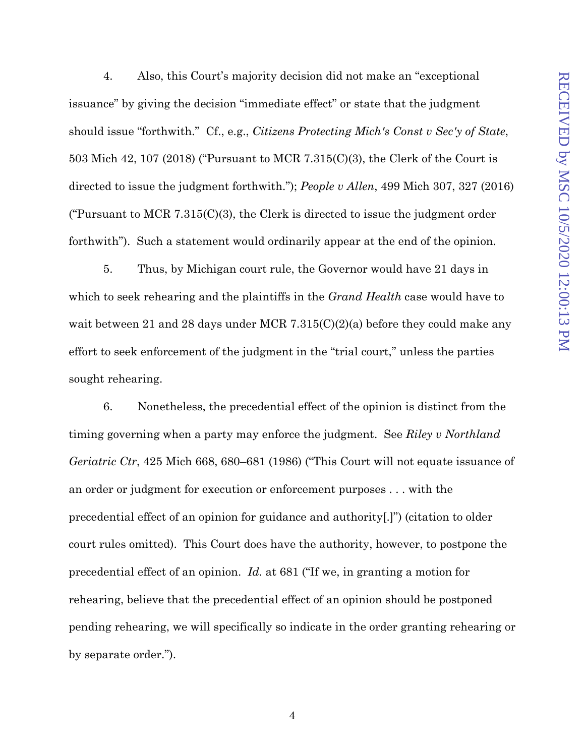4. Also, this Court's majority decision did not make an "exceptional issuance" by giving the decision "immediate effect" or state that the judgment should issue "forthwith." Cf., e.g., *Citizens Protecting Mich's Const v Sec'y of State*, 503 Mich 42, 107 (2018) ("Pursuant to MCR 7.315(C)(3), the Clerk of the Court is directed to issue the judgment forthwith."); *People v Allen*, 499 Mich 307, 327 (2016) ("Pursuant to MCR 7.315(C)(3), the Clerk is directed to issue the judgment order forthwith"). Such a statement would ordinarily appear at the end of the opinion.

5. Thus, by Michigan court rule, the Governor would have 21 days in which to seek rehearing and the plaintiffs in the *Grand Health* case would have to wait between 21 and 28 days under MCR 7.315(C)(2)(a) before they could make any effort to seek enforcement of the judgment in the "trial court," unless the parties sought rehearing.

6. Nonetheless, the precedential effect of the opinion is distinct from the timing governing when a party may enforce the judgment. See *Riley v Northland Geriatric Ctr*, 425 Mich 668, 680–681 (1986) ("This Court will not equate issuance of an order or judgment for execution or enforcement purposes . . . with the precedential effect of an opinion for guidance and authority[.]") (citation to older court rules omitted). This Court does have the authority, however, to postpone the precedential effect of an opinion. *Id.* at 681 ("If we, in granting a motion for rehearing, believe that the precedential effect of an opinion should be postponed pending rehearing, we will specifically so indicate in the order granting rehearing or by separate order.").

4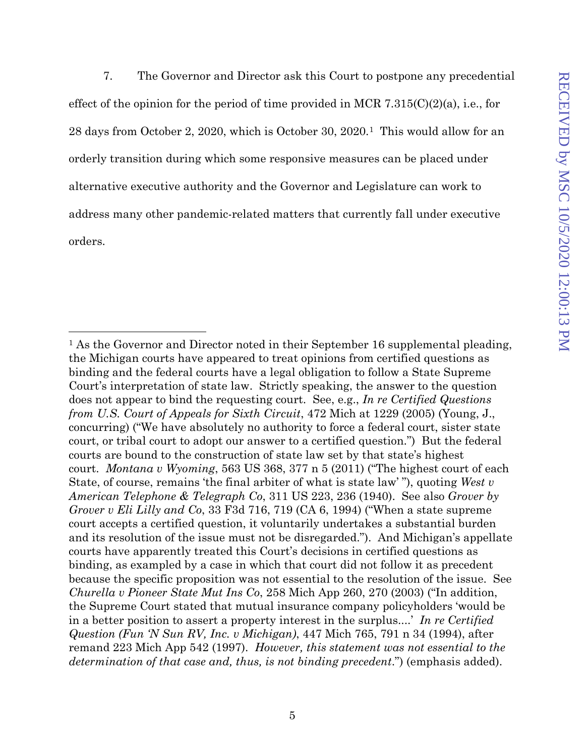7. The Governor and Director ask this Court to postpone any precedential effect of the opinion for the period of time provided in MCR 7.315( $C(2)(a)$ , i.e., for 28 days from October 2, 2020, which is October 30, 2020.[1](#page-4-0) This would allow for an orderly transition during which some responsive measures can be placed under alternative executive authority and the Governor and Legislature can work to address many other pandemic-related matters that currently fall under executive orders.

<span id="page-4-0"></span><sup>&</sup>lt;sup>1</sup> As the Governor and Director noted in their September 16 supplemental pleading, the Michigan courts have appeared to treat opinions from certified questions as binding and the federal courts have a legal obligation to follow a State Supreme Court's interpretation of state law. Strictly speaking, the answer to the question does not appear to bind the requesting court. See, e.g., *In re Certified Questions from U.S. Court of Appeals for Sixth Circuit*, 472 Mich at 1229 (2005) (Young, J., concurring) ("We have absolutely no authority to force a federal court, sister state court, or tribal court to adopt our answer to a certified question.") But the federal courts are bound to the construction of state law set by that state's highest court. *Montana v Wyoming*, 563 US 368, 377 n 5 (2011) ("The highest court of each State, of course, remains 'the final arbiter of what is state law' "), quoting *West v American Telephone & Telegraph Co*, 311 US 223, 236 (1940). See also *Grover by Grover v Eli Lilly and Co*, 33 F3d 716, 719 (CA 6, 1994) ("When a state supreme court accepts a certified question, it voluntarily undertakes a substantial burden and its resolution of the issue must not be disregarded."). And Michigan's appellate courts have apparently treated this Court's decisions in certified questions as binding, as exampled by a case in which that court did not follow it as precedent because the specific proposition was not essential to the resolution of the issue. See *Churella v Pioneer State Mut Ins Co*, 258 Mich App 260, 270 (2003) ("In addition, the Supreme Court stated that mutual insurance company policyholders 'would be in a better position to assert a property interest in the surplus....' *In re Certified Question (Fun 'N Sun RV, Inc. v Michigan)*, 447 Mich 765, 791 n 34 (1994), after remand 223 Mich App 542 (1997). *However, this statement was not essential to the determination of that case and, thus, is not binding precedent*.") (emphasis added).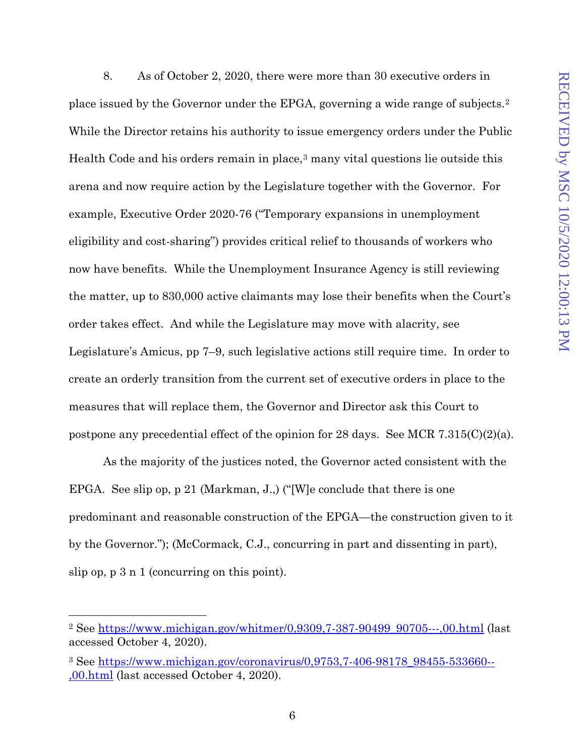8. As of October 2, 2020, there were more than 30 executive orders in place issued by the Governor under the EPGA, governing a wide range of subjects.[2](#page-5-0) While the Director retains his authority to issue emergency orders under the Public Health Code and his orders remain in place,[3](#page-5-1) many vital questions lie outside this arena and now require action by the Legislature together with the Governor. For example, Executive Order 2020-76 ("Temporary expansions in unemployment eligibility and cost-sharing") provides critical relief to thousands of workers who now have benefits. While the Unemployment Insurance Agency is still reviewing the matter, up to 830,000 active claimants may lose their benefits when the Court's order takes effect. And while the Legislature may move with alacrity, see Legislature's Amicus, pp 7–9, such legislative actions still require time. In order to create an orderly transition from the current set of executive orders in place to the measures that will replace them, the Governor and Director ask this Court to postpone any precedential effect of the opinion for 28 days. See MCR 7.315(C)(2)(a).

As the majority of the justices noted, the Governor acted consistent with the EPGA. See slip op, p 21 (Markman, J.,) ("[W]e conclude that there is one predominant and reasonable construction of the EPGA—the construction given to it by the Governor."); (McCormack, C.J., concurring in part and dissenting in part), slip op, p 3 n 1 (concurring on this point).

<span id="page-5-0"></span><sup>&</sup>lt;sup>2</sup> See [https://www.michigan.gov/whitmer/0,9309,7-387-90499\\_90705---,00.html](https://www.michigan.gov/whitmer/0,9309,7-387-90499_90705---,00.html) (last accessed October 4, 2020).

<span id="page-5-1"></span><sup>3</sup> See [https://www.michigan.gov/coronavirus/0,9753,7-406-98178\\_98455-533660--](https://gcc01.safelinks.protection.outlook.com/?url=https%3A%2F%2Fwww.michigan.gov%2Fcoronavirus%2F0%2C9753%2C7-406-98178_98455-533660--%2C00.html&data=02%7C01%7CRestucciaE%40michigan.gov%7Cc1026e796a6e4d55497108d85671f29b%7Cd5fb7087377742ad966a892ef47225d1%7C0%7C0%7C637354394697735251&sdata=8Yezfov33PXnfpsrDP%2FkjAo9XESQz8jen%2BeRl9ivIgw%3D&reserved=0) [,00.html](https://gcc01.safelinks.protection.outlook.com/?url=https%3A%2F%2Fwww.michigan.gov%2Fcoronavirus%2F0%2C9753%2C7-406-98178_98455-533660--%2C00.html&data=02%7C01%7CRestucciaE%40michigan.gov%7Cc1026e796a6e4d55497108d85671f29b%7Cd5fb7087377742ad966a892ef47225d1%7C0%7C0%7C637354394697735251&sdata=8Yezfov33PXnfpsrDP%2FkjAo9XESQz8jen%2BeRl9ivIgw%3D&reserved=0) (last accessed October 4, 2020).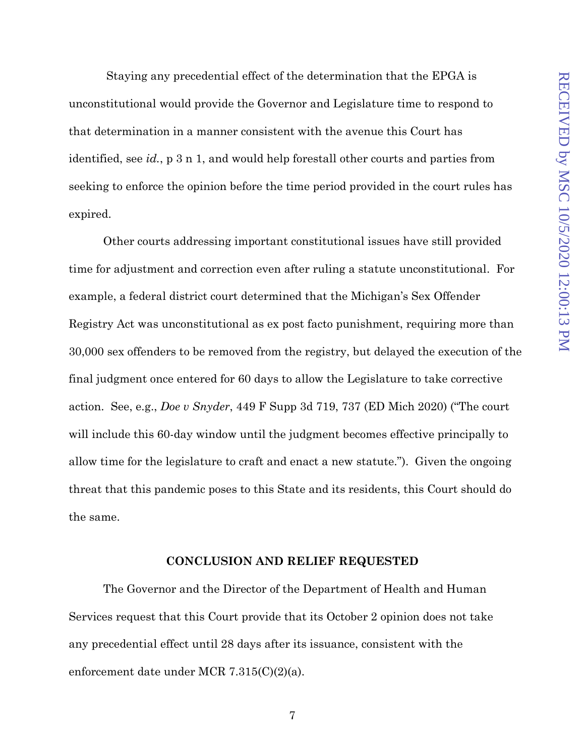Staying any precedential effect of the determination that the EPGA is unconstitutional would provide the Governor and Legislature time to respond to that determination in a manner consistent with the avenue this Court has identified, see *id.*, p 3 n 1, and would help forestall other courts and parties from seeking to enforce the opinion before the time period provided in the court rules has expired.

Other courts addressing important constitutional issues have still provided time for adjustment and correction even after ruling a statute unconstitutional. For example, a federal district court determined that the Michigan's Sex Offender Registry Act was unconstitutional as ex post facto punishment, requiring more than 30,000 sex offenders to be removed from the registry, but delayed the execution of the final judgment once entered for 60 days to allow the Legislature to take corrective action. See, e.g., *Doe v Snyder*, 449 F Supp 3d 719, 737 (ED Mich 2020) ("The court will include this 60-day window until the judgment becomes effective principally to allow time for the legislature to craft and enact a new statute."). Given the ongoing threat that this pandemic poses to this State and its residents, this Court should do the same.

## **CONCLUSION AND RELIEF REQUESTED**

The Governor and the Director of the Department of Health and Human Services request that this Court provide that its October 2 opinion does not take any precedential effect until 28 days after its issuance, consistent with the enforcement date under MCR 7.315(C)(2)(a).

7